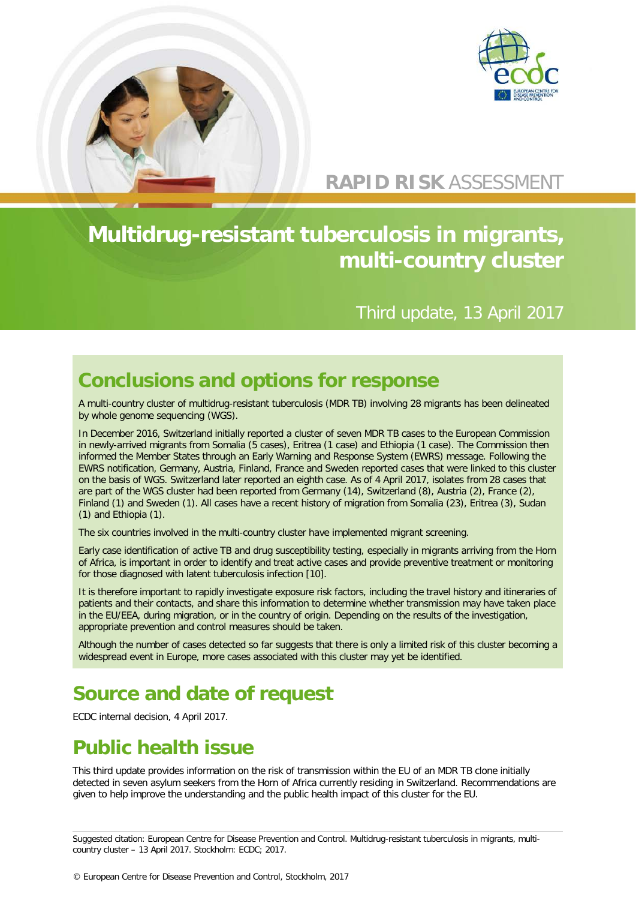



### **RAPID RISK** ASSESSMENT

# **Multidrug-resistant tuberculosis in migrants, multi-country cluster**

#### Third update, 13 April 2017

#### **Conclusions and options for response**

A multi-country cluster of multidrug-resistant tuberculosis (MDR TB) involving 28 migrants has been delineated by whole genome sequencing (WGS).

In December 2016, Switzerland initially reported a cluster of seven MDR TB cases to the European Commission in newly-arrived migrants from Somalia (5 cases), Eritrea (1 case) and Ethiopia (1 case). The Commission then informed the Member States through an Early Warning and Response System (EWRS) message. Following the EWRS notification, Germany, Austria, Finland, France and Sweden reported cases that were linked to this cluster on the basis of WGS. Switzerland later reported an eighth case. As of 4 April 2017, isolates from 28 cases that are part of the WGS cluster had been reported from Germany (14), Switzerland (8), Austria (2), France (2), Finland (1) and Sweden (1). All cases have a recent history of migration from Somalia (23), Eritrea (3), Sudan (1) and Ethiopia (1).

The six countries involved in the multi-country cluster have implemented migrant screening.

Early case identification of active TB and drug susceptibility testing, especially in migrants arriving from the Horn of Africa, is important in order to identify and treat active cases and provide preventive treatment or monitoring for those diagnosed with latent tuberculosis infection [10].

It is therefore important to rapidly investigate exposure risk factors, including the travel history and itineraries of patients and their contacts, and share this information to determine whether transmission may have taken place in the EU/EEA, during migration, or in the country of origin. Depending on the results of the investigation, appropriate prevention and control measures should be taken.

Although the number of cases detected so far suggests that there is only a limited risk of this cluster becoming a widespread event in Europe, more cases associated with this cluster may yet be identified.

## **Source and date of request**

ECDC internal decision, 4 April 2017.

## **Public health issue**

This third update provides information on the risk of transmission within the EU of an MDR TB clone initially detected in seven asylum seekers from the Horn of Africa currently residing in Switzerland. Recommendations are given to help improve the understanding and the public health impact of this cluster for the EU.

Suggested citation: European Centre for Disease Prevention and Control. Multidrug-resistant tuberculosis in migrants, multicountry cluster – 13 April 2017. Stockholm: ECDC; 2017.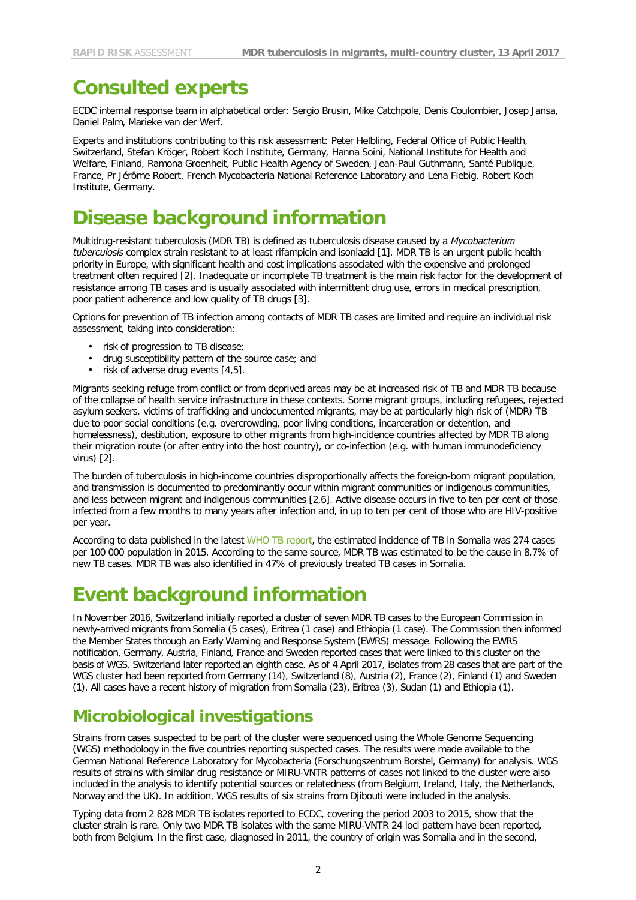### **Consulted experts**

ECDC internal response team in alphabetical order: Sergio Brusin, Mike Catchpole, Denis Coulombier, Josep Jansa, Daniel Palm, Marieke van der Werf.

Experts and institutions contributing to this risk assessment: Peter Helbling, Federal Office of Public Health, Switzerland, Stefan Kröger, Robert Koch Institute, Germany, Hanna Soini, National Institute for Health and Welfare, Finland, Ramona Groenheit, Public Health Agency of Sweden, Jean-Paul Guthmann, Santé Publique, France, Pr Jérôme Robert, French Mycobacteria National Reference Laboratory and Lena Fiebig, Robert Koch Institute, Germany.

### **Disease background information**

Multidrug-resistant tuberculosis (MDR TB) is defined as tuberculosis disease caused by a *Mycobacterium tuberculosis* complex strain resistant to at least rifampicin and isoniazid [1]. MDR TB is an urgent public health priority in Europe, with significant health and cost implications associated with the expensive and prolonged treatment often required [2]. Inadequate or incomplete TB treatment is the main risk factor for the development of resistance among TB cases and is usually associated with intermittent drug use, errors in medical prescription, poor patient adherence and low quality of TB drugs [3].

Options for prevention of TB infection among contacts of MDR TB cases are limited and require an individual risk assessment, taking into consideration:

- risk of progression to TB disease;
- drug susceptibility pattern of the source case; and
- risk of adverse drug events  $[4,5]$ .

Migrants seeking refuge from conflict or from deprived areas may be at increased risk of TB and MDR TB because of the collapse of health service infrastructure in these contexts. Some migrant groups, including refugees, rejected asylum seekers, victims of trafficking and undocumented migrants, may be at particularly high risk of (MDR) TB due to poor social conditions (e.g. overcrowding, poor living conditions, incarceration or detention, and homelessness), destitution, exposure to other migrants from high-incidence countries affected by MDR TB along their migration route (or after entry into the host country), or co-infection (e.g. with human immunodeficiency virus) [2].

The burden of tuberculosis in high-income countries disproportionally affects the foreign-born migrant population, and transmission is documented to predominantly occur within migrant communities or indigenous communities, and less between migrant and indigenous communities [2,6]. Active disease occurs in five to ten per cent of those infected from a few months to many years after infection and, in up to ten per cent of those who are HIV-positive per year.

According to data published in the latest [WHO TB report,](https://extranet.who.int/sree/Reports?op=Replet&name=%2FWHO_HQ_Reports%2FG2%2FPROD%2FEXT%2FTBCountryProfile&ISO2=SO&LAN=EN&outtype=html) the estimated incidence of TB in Somalia was 274 cases per 100 000 population in 2015. According to the same source, MDR TB was estimated to be the cause in 8.7% of new TB cases. MDR TB was also identified in 47% of previously treated TB cases in Somalia.

## **Event background information**

In November 2016, Switzerland initially reported a cluster of seven MDR TB cases to the European Commission in newly-arrived migrants from Somalia (5 cases), Eritrea (1 case) and Ethiopia (1 case). The Commission then informed the Member States through an Early Warning and Response System (EWRS) message. Following the EWRS notification, Germany, Austria, Finland, France and Sweden reported cases that were linked to this cluster on the basis of WGS. Switzerland later reported an eighth case. As of 4 April 2017, isolates from 28 cases that are part of the WGS cluster had been reported from Germany (14), Switzerland (8), Austria (2), France (2), Finland (1) and Sweden (1). All cases have a recent history of migration from Somalia (23), Eritrea (3), Sudan (1) and Ethiopia (1).

#### **Microbiological investigations**

Strains from cases suspected to be part of the cluster were sequenced using the Whole Genome Sequencing (WGS) methodology in the five countries reporting suspected cases. The results were made available to the German National Reference Laboratory for Mycobacteria (Forschungszentrum Borstel, Germany) for analysis. WGS results of strains with similar drug resistance or MIRU-VNTR patterns of cases not linked to the cluster were also included in the analysis to identify potential sources or relatedness (from Belgium, Ireland, Italy, the Netherlands, Norway and the UK). In addition, WGS results of six strains from Djibouti were included in the analysis.

Typing data from 2 828 MDR TB isolates reported to ECDC, covering the period 2003 to 2015, show that the cluster strain is rare. Only two MDR TB isolates with the same MIRU-VNTR 24 loci pattern have been reported, both from Belgium. In the first case, diagnosed in 2011, the country of origin was Somalia and in the second,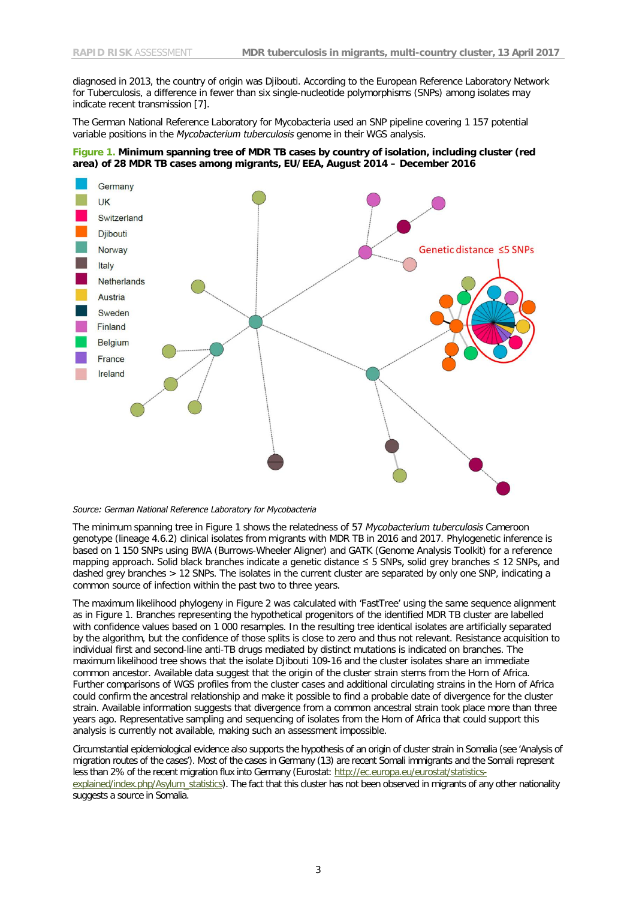diagnosed in 2013, the country of origin was Djibouti. According to the European Reference Laboratory Network for Tuberculosis, a difference in fewer than six single-nucleotide polymorphisms (SNPs) among isolates may indicate recent transmission [7].

The German National Reference Laboratory for Mycobacteria used an SNP pipeline covering 1 157 potential variable positions in the *Mycobacterium tuberculosis* genome in their WGS analysis.

#### **Figure 1. Minimum spanning tree of MDR TB cases by country of isolation, including cluster (red area) of 28 MDR TB cases among migrants, EU/EEA, August 2014 – December 2016**



#### *Source: German National Reference Laboratory for Mycobacteria*

The minimum spanning tree in Figure 1 shows the relatedness of 57 *Mycobacterium tuberculosis* Cameroon genotype (lineage 4.6.2) clinical isolates from migrants with MDR TB in 2016 and 2017. Phylogenetic inference is based on 1 150 SNPs using BWA (Burrows-Wheeler Aligner) and GATK (Genome Analysis Toolkit) for a reference mapping approach. Solid black branches indicate a genetic distance ≤ 5 SNPs, solid grey branches ≤ 12 SNPs, and dashed grey branches > 12 SNPs. The isolates in the current cluster are separated by only one SNP, indicating a common source of infection within the past two to three years.

The maximum likelihood phylogeny in Figure 2 was calculated with 'FastTree' using the same sequence alignment as in Figure 1. Branches representing the hypothetical progenitors of the identified MDR TB cluster are labelled with confidence values based on 1 000 resamples. In the resulting tree identical isolates are artificially separated by the algorithm, but the confidence of those splits is close to zero and thus not relevant. Resistance acquisition to individual first and second-line anti-TB drugs mediated by distinct mutations is indicated on branches. The maximum likelihood tree shows that the isolate Djibouti 109-16 and the cluster isolates share an immediate common ancestor. Available data suggest that the origin of the cluster strain stems from the Horn of Africa. Further comparisons of WGS profiles from the cluster cases and additional circulating strains in the Horn of Africa could confirm the ancestral relationship and make it possible to find a probable date of divergence for the cluster strain. Available information suggests that divergence from a common ancestral strain took place more than three years ago. Representative sampling and sequencing of isolates from the Horn of Africa that could support this analysis is currently not available, making such an assessment impossible.

Circumstantial epidemiological evidence also supports the hypothesis of an origin of cluster strain in Somalia (see 'Analysis of migration routes of the cases'). Most of the cases in Germany (13) are recent Somali immigrants and the Somali represent less than 2% of the recent migration flux into Germany (Eurostat: [http://ec.europa.eu/eurostat/statistics](http://ec.europa.eu/eurostat/statistics-explained/index.php/Asylum_statistics)[explained/index.php/Asylum\\_statistics\)](http://ec.europa.eu/eurostat/statistics-explained/index.php/Asylum_statistics). The fact that this cluster has not been observed in migrants of any other nationality suggests a source in Somalia.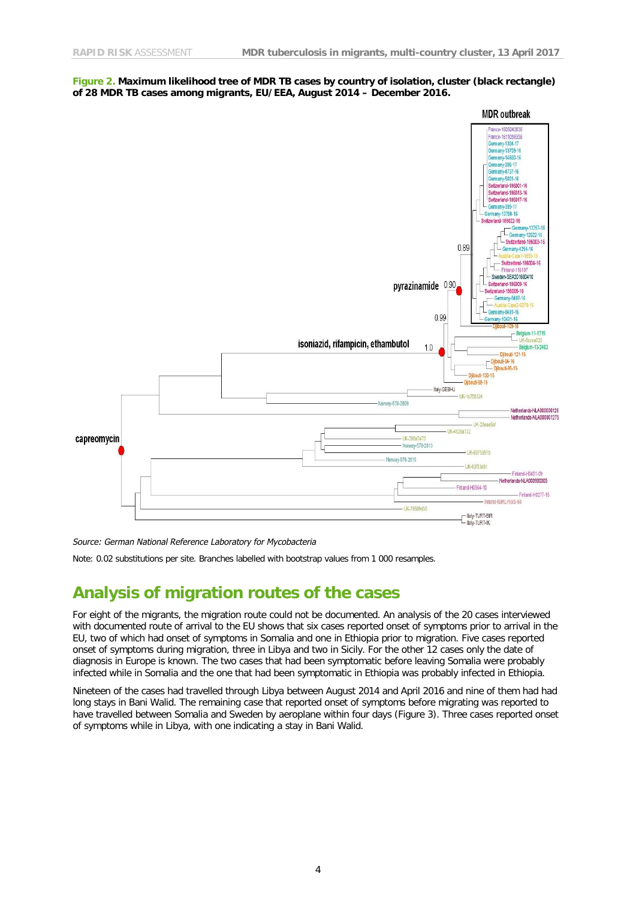



*Source: German National Reference Laboratory for Mycobacteria*

Note: 0.02 substitutions per site. Branches labelled with bootstrap values from 1 000 resamples.

#### **Analysis of migration routes of the cases**

For eight of the migrants, the migration route could not be documented. An analysis of the 20 cases interviewed with documented route of arrival to the EU shows that six cases reported onset of symptoms prior to arrival in the EU, two of which had onset of symptoms in Somalia and one in Ethiopia prior to migration. Five cases reported onset of symptoms during migration, three in Libya and two in Sicily. For the other 12 cases only the date of diagnosis in Europe is known. The two cases that had been symptomatic before leaving Somalia were probably infected while in Somalia and the one that had been symptomatic in Ethiopia was probably infected in Ethiopia.

Nineteen of the cases had travelled through Libya between August 2014 and April 2016 and nine of them had had long stays in Bani Walid. The remaining case that reported onset of symptoms before migrating was reported to have travelled between Somalia and Sweden by aeroplane within four days (Figure 3). Three cases reported onset of symptoms while in Libya, with one indicating a stay in Bani Walid.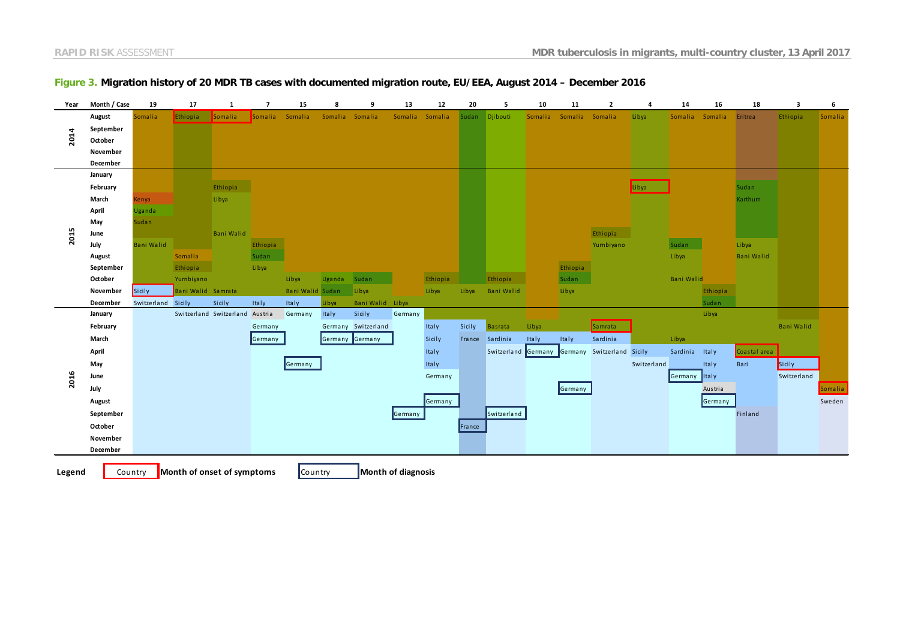| Year   | Month / Case | 19                 | 17                 | 1                          | $\overline{7}$ | 15               | -8              | 9                   | 13      | 12              | 20     | 5                           | 10      | 11              | $\overline{2}$     | 4           | 14                | 16           | 18                | 3                 | 6       |
|--------|--------------|--------------------|--------------------|----------------------------|----------------|------------------|-----------------|---------------------|---------|-----------------|--------|-----------------------------|---------|-----------------|--------------------|-------------|-------------------|--------------|-------------------|-------------------|---------|
| 2014   | August       | Somalia            | Ethiopia           | Somalia                    | Somalia        | Somalia          | Somalia Somalia |                     |         | Somalia Somalia | Sudan  | Djibouti                    | Somalia | Somalia Somalia |                    | Libya       | Somalia           | Somalia      | Eritrea           | Ethiopia          | Somalia |
|        | September    |                    |                    |                            |                |                  |                 |                     |         |                 |        |                             |         |                 |                    |             |                   |              |                   |                   |         |
|        | October      |                    |                    |                            |                |                  |                 |                     |         |                 |        |                             |         |                 |                    |             |                   |              |                   |                   |         |
|        | November     |                    |                    |                            |                |                  |                 |                     |         |                 |        |                             |         |                 |                    |             |                   |              |                   |                   |         |
|        | December     |                    |                    |                            |                |                  |                 |                     |         |                 |        |                             |         |                 |                    |             |                   |              |                   |                   |         |
| 2015   | January      |                    |                    |                            |                |                  |                 |                     |         |                 |        |                             |         |                 |                    |             |                   |              |                   |                   |         |
|        | February     |                    |                    | Ethiopia                   |                |                  |                 |                     |         |                 |        |                             |         |                 |                    | Libya       |                   |              | Sudan             |                   |         |
|        | March        | Kenya              |                    | Libya                      |                |                  |                 |                     |         |                 |        |                             |         |                 |                    |             |                   |              | Karthum           |                   |         |
|        | April        | Uganda             |                    |                            |                |                  |                 |                     |         |                 |        |                             |         |                 |                    |             |                   |              |                   |                   |         |
|        | May          | Sudan              |                    |                            |                |                  |                 |                     |         |                 |        |                             |         |                 |                    |             |                   |              |                   |                   |         |
|        | June         |                    |                    | <b>Bani Walid</b>          |                |                  |                 |                     |         |                 |        |                             |         |                 | Ethiopia           |             |                   |              |                   |                   |         |
|        | July         | <b>Bani Walid</b>  |                    |                            | Ethiopia       |                  |                 |                     |         |                 |        |                             |         |                 | Yurnbiyano         |             | Sudan             |              | Libya             |                   |         |
|        | August       |                    | Somalia            |                            | Sudan          |                  |                 |                     |         |                 |        |                             |         |                 |                    |             | Libya             |              | <b>Bani Walid</b> |                   |         |
|        | September    |                    | Ethiopia           |                            | Libya          |                  |                 |                     |         |                 |        |                             |         | Ethiopia        |                    |             |                   |              |                   |                   |         |
|        | October      |                    | Yurnbiyano         |                            |                | Libya            | Uganda          | Sudan               |         | Ethiopia        |        | Ethiopia                    |         | Sudan           |                    |             | <b>Bani Walid</b> |              |                   |                   |         |
|        | November     | Sicily             | Bani Walid Samrata |                            |                | Bani Walid Sudan |                 | Libya               |         | Libya           | Libya  | <b>Bani Walid</b>           |         | Libya           |                    |             |                   | Ethiopia     |                   |                   |         |
|        | December     | Switzerland Sicily |                    | Sicily                     | Italy          | Italy            | Libya           | Bani Walid Libya    |         |                 |        |                             |         |                 |                    |             |                   | Sudan        |                   |                   |         |
| 2016   | January      |                    |                    | Switzerland Switzerland    | Austria        | Germany          | Italy           | Sicily              | Germany |                 |        |                             |         |                 |                    |             |                   | Libya        |                   |                   |         |
|        | February     |                    |                    |                            | Germany        |                  |                 | Germany Switzerland |         | Italy           | Sicily | <b>Basrata</b>              | Libya   |                 | Samrata            |             |                   |              |                   | <b>Bani Walid</b> |         |
|        | March        |                    |                    |                            | Germany        |                  |                 | Germany Germany     |         | Sicily          |        | France Sardinia             | Italy   | Italy           | Sardinia           |             | Libya             |              |                   |                   |         |
|        | April        |                    |                    |                            |                |                  |                 |                     |         | Italy           |        | Switzerland Germany Germany |         |                 | Switzerland Sicily |             | Sardinia          | <b>Italy</b> | Coastal area      |                   |         |
|        | May          |                    |                    |                            |                | Germany          |                 |                     |         | Italy           |        |                             |         |                 |                    | Switzerland |                   | Italy        | Bari              | Sicily            |         |
|        | June         |                    |                    |                            |                |                  |                 |                     |         | Germany         |        |                             |         |                 |                    |             | Germany Italy     |              |                   | Switzerland       |         |
|        | July         |                    |                    |                            |                |                  |                 |                     |         |                 |        |                             |         | Germany         |                    |             |                   | Austria      |                   |                   | Somalia |
|        | August       |                    |                    |                            |                |                  |                 |                     |         | Germany         |        |                             |         |                 |                    |             |                   | Germany      |                   |                   | Sweden  |
|        | September    |                    |                    |                            |                |                  |                 |                     | Germany |                 |        | Switzerland                 |         |                 |                    |             |                   |              | Finland           |                   |         |
|        | October      |                    |                    |                            |                |                  |                 |                     |         |                 | France |                             |         |                 |                    |             |                   |              |                   |                   |         |
|        | November     |                    |                    |                            |                |                  |                 |                     |         |                 |        |                             |         |                 |                    |             |                   |              |                   |                   |         |
|        | December     |                    |                    |                            |                |                  |                 |                     |         |                 |        |                             |         |                 |                    |             |                   |              |                   |                   |         |
|        |              |                    |                    |                            |                |                  |                 |                     |         |                 |        |                             |         |                 |                    |             |                   |              |                   |                   |         |
| Legend |              | Country            |                    | Month of onset of symptoms |                | Country          |                 | Month of diagnosis  |         |                 |        |                             |         |                 |                    |             |                   |              |                   |                   |         |

#### **Figure 3. Migration history of 20 MDR TB cases with documented migration route, EU/EEA, August 2014 – December 2016**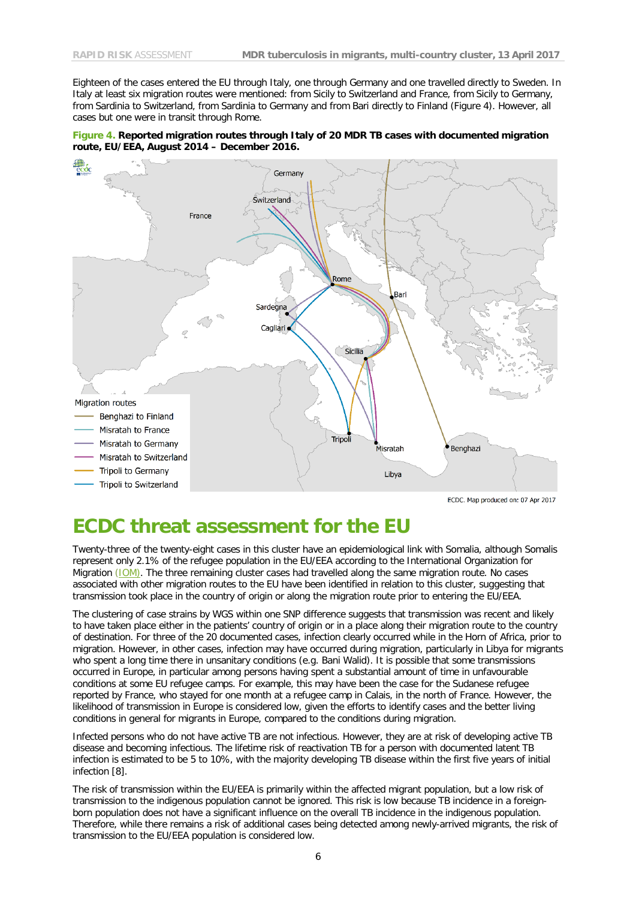Eighteen of the cases entered the EU through Italy, one through Germany and one travelled directly to Sweden. In Italy at least six migration routes were mentioned: from Sicily to Switzerland and France, from Sicily to Germany, from Sardinia to Switzerland, from Sardinia to Germany and from Bari directly to Finland (Figure 4). However, all cases but one were in transit through Rome.





### **ECDC threat assessment for the EU**

Twenty-three of the twenty-eight cases in this cluster have an epidemiological link with Somalia, although Somalis represent only 2.1% of the refugee population in the EU/EEA according to the International Organization for Migration [\(IOM\)](http://migration.iom.int/docs/WEEKLY_Flows_Compilation_No29_17_November_2016.pdf). The three remaining cluster cases had travelled along the same migration route. No cases associated with other migration routes to the EU have been identified in relation to this cluster, suggesting that transmission took place in the country of origin or along the migration route prior to entering the EU/EEA.

The clustering of case strains by WGS within one SNP difference suggests that transmission was recent and likely to have taken place either in the patients' country of origin or in a place along their migration route to the country of destination. For three of the 20 documented cases, infection clearly occurred while in the Horn of Africa, prior to migration. However, in other cases, infection may have occurred during migration, particularly in Libya for migrants who spent a long time there in unsanitary conditions (e.g. Bani Walid). It is possible that some transmissions occurred in Europe, in particular among persons having spent a substantial amount of time in unfavourable conditions at some EU refugee camps. For example, this may have been the case for the Sudanese refugee reported by France, who stayed for one month at a refugee camp in Calais, in the north of France. However, the likelihood of transmission in Europe is considered low, given the efforts to identify cases and the better living conditions in general for migrants in Europe, compared to the conditions during migration.

Infected persons who do not have active TB are not infectious. However, they are at risk of developing active TB disease and becoming infectious. The lifetime risk of reactivation TB for a person with documented latent TB infection is estimated to be 5 to 10%, with the majority developing TB disease within the first five years of initial infection [8].

The risk of transmission within the EU/EEA is primarily within the affected migrant population, but a low risk of transmission to the indigenous population cannot be ignored. This risk is low because TB incidence in a foreignborn population does not have a significant influence on the overall TB incidence in the indigenous population. Therefore, while there remains a risk of additional cases being detected among newly-arrived migrants, the risk of transmission to the EU/EEA population is considered low.